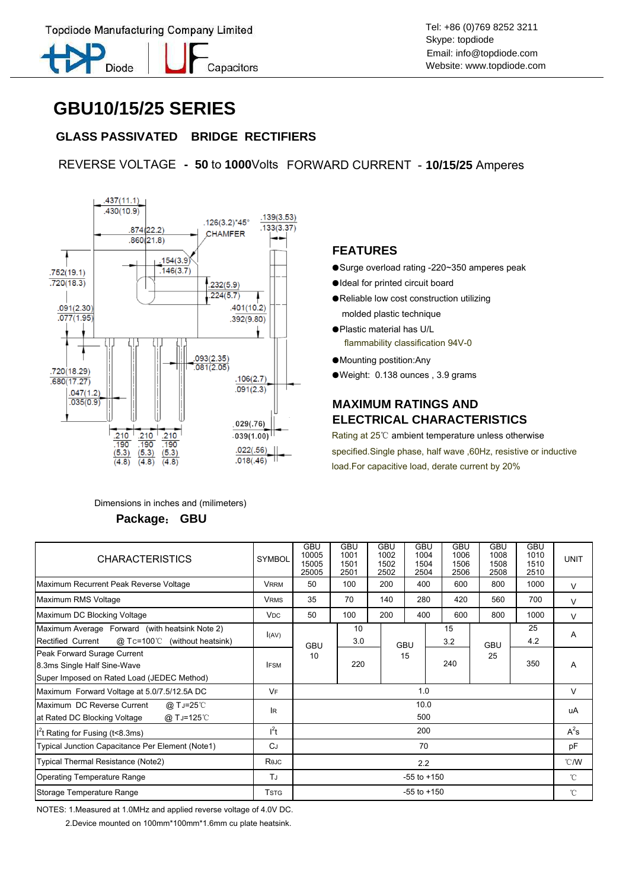

Skype: topdiode Email: info@topdiode.com Website: www.topdiode.com

# **GBU10/15/25 SERIES**

## **GLASS PASSIVATED BRIDGE RECTIFIERS**

Capacitors

REVERSE VOLTAGE **- 50** to **1000**Volts FORWARD CURRENT - **10/15/25** Amperes



 Dimensions in inches and (milimeters)  **Package**: **GBU**

#### **FEATURES**

- ●Surge overload rating -220~350 amperes peak
- ●Ideal for printed circuit board
- ●Reliable low cost construction utilizing molded plastic technique
- ●Plastic material has U/L flammability classification 94V-0
- ●Mounting postition:Any
- ●Weight: 0.138 ounces , 3.9 grams

## **MAXIMUM RATINGS AND ELECTRICAL CHARACTERISTICS**

Rating at 25℃ ambient temperature unless otherwise specified.Single phase, half wave ,60Hz, resistive or inductive load.For capacitive load, derate current by 20%

| <b>CHARACTERISTICS</b>                                                                                   | <b>SYMBOL</b>         | <b>GBU</b><br>10005<br>15005<br>25005 | <b>GBU</b><br>1001<br>1501<br>2501 | <b>GBU</b><br>1002<br>1502<br>2502 | <b>GBU</b><br>1004<br>1504<br>2504 | <b>GBU</b><br>1006<br>1506<br>2506 | GBU<br>1008<br>1508<br>2508 | <b>GBU</b><br>1010<br>1510<br>2510 | <b>UNIT</b>    |
|----------------------------------------------------------------------------------------------------------|-----------------------|---------------------------------------|------------------------------------|------------------------------------|------------------------------------|------------------------------------|-----------------------------|------------------------------------|----------------|
| Maximum Recurrent Peak Reverse Voltage                                                                   | <b>VRRM</b>           | 50                                    | 100                                | 200                                | 400                                | 600                                | 800                         | 1000                               | $\vee$         |
| Maximum RMS Voltage                                                                                      | <b>VRMS</b>           | 35                                    | 70                                 | 140                                | 280                                | 420                                | 560                         | 700                                | $\vee$         |
| Maximum DC Blocking Voltage                                                                              | <b>V<sub>DC</sub></b> | 50                                    | 100                                | 200                                | 400                                | 600                                | 800                         | 1000                               | $\vee$         |
| Maximum Average Forward (with heatsink Note 2)<br>@ Tc=100℃<br>Rectified Current<br>(without heatsink)   | I(AV)                 | <b>GBU</b><br>10                      | 10<br>3.0                          |                                    | <b>GBU</b>                         | 15<br>3.2                          | <b>GBU</b><br>25            | 25<br>4.2                          | A              |
| Peak Forward Surage Current<br>8.3ms Single Half Sine-Wave<br>Super Imposed on Rated Load (JEDEC Method) | <b>IFSM</b>           |                                       | 220                                |                                    | 15                                 | 240                                |                             | 350                                | A              |
| Maximum Forward Voltage at 5.0/7.5/12.5A DC                                                              | VF                    | 1.0                                   |                                    |                                    |                                    |                                    |                             |                                    | $\vee$         |
| Maximum DC Reverse Current<br>@ TJ=25℃<br>at Rated DC Blocking Voltage<br>@ T J=125°C                    | <b>IR</b>             | 10.0<br>500                           |                                    |                                    |                                    |                                    |                             |                                    | uA             |
| I <sup>2</sup> t Rating for Fusing (t<8.3ms)                                                             | $l^2t$                | 200                                   |                                    |                                    |                                    |                                    |                             |                                    | $A^2$ s        |
| Typical Junction Capacitance Per Element (Note1)                                                         | CJ                    | 70                                    |                                    |                                    |                                    |                                    |                             |                                    | pF             |
| Typical Thermal Resistance (Note2)                                                                       | Rejc                  | 2.2                                   |                                    |                                    |                                    |                                    |                             |                                    | $^{\circ}$ C/W |
| <b>Operating Temperature Range</b>                                                                       | TJ                    | $-55$ to $+150$                       |                                    |                                    |                                    |                                    |                             |                                    | $^{\circ}$ C   |
| Storage Temperature Range                                                                                | <b>TSTG</b>           | $-55$ to $+150$                       |                                    |                                    |                                    |                                    |                             |                                    | $^{\circ}$ C   |

NOTES: 1.Measured at 1.0MHz and applied reverse voltage of 4.0V DC.

2.Device mounted on 100mm\*100mm\*1.6mm cu plate heatsink.